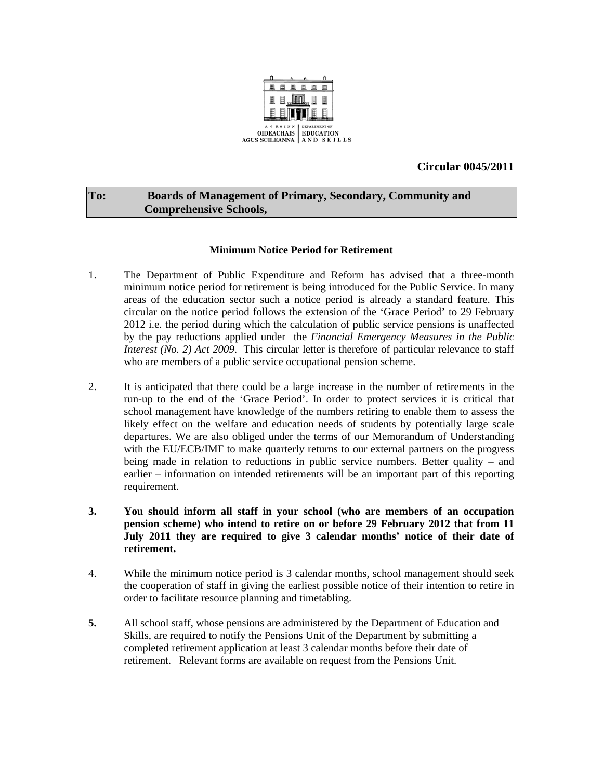

# **Circular 0045/2011**

## **To: Boards of Management of Primary, Secondary, Community and Comprehensive Schools,**

### **Minimum Notice Period for Retirement**

- 1. The Department of Public Expenditure and Reform has advised that a three-month minimum notice period for retirement is being introduced for the Public Service. In many areas of the education sector such a notice period is already a standard feature. This circular on the notice period follows the extension of the 'Grace Period' to 29 February 2012 i.e. the period during which the calculation of public service pensions is unaffected by the pay reductions applied under the *Financial Emergency Measures in the Public Interest (No. 2) Act 2009.* This circular letter is therefore of particular relevance to staff who are members of a public service occupational pension scheme.
- 2. It is anticipated that there could be a large increase in the number of retirements in the run-up to the end of the 'Grace Period'. In order to protect services it is critical that school management have knowledge of the numbers retiring to enable them to assess the likely effect on the welfare and education needs of students by potentially large scale departures. We are also obliged under the terms of our Memorandum of Understanding with the EU/ECB/IMF to make quarterly returns to our external partners on the progress being made in relation to reductions in public service numbers. Better quality – and earlier – information on intended retirements will be an important part of this reporting requirement.
- **3. You should inform all staff in your school (who are members of an occupation pension scheme) who intend to retire on or before 29 February 2012 that from 11 July 2011 they are required to give 3 calendar months' notice of their date of retirement.**
- 4. While the minimum notice period is 3 calendar months, school management should seek the cooperation of staff in giving the earliest possible notice of their intention to retire in order to facilitate resource planning and timetabling.
- **5.** All school staff, whose pensions are administered by the Department of Education and Skills, are required to notify the Pensions Unit of the Department by submitting a completed retirement application at least 3 calendar months before their date of retirement. Relevant forms are available on request from the Pensions Unit.